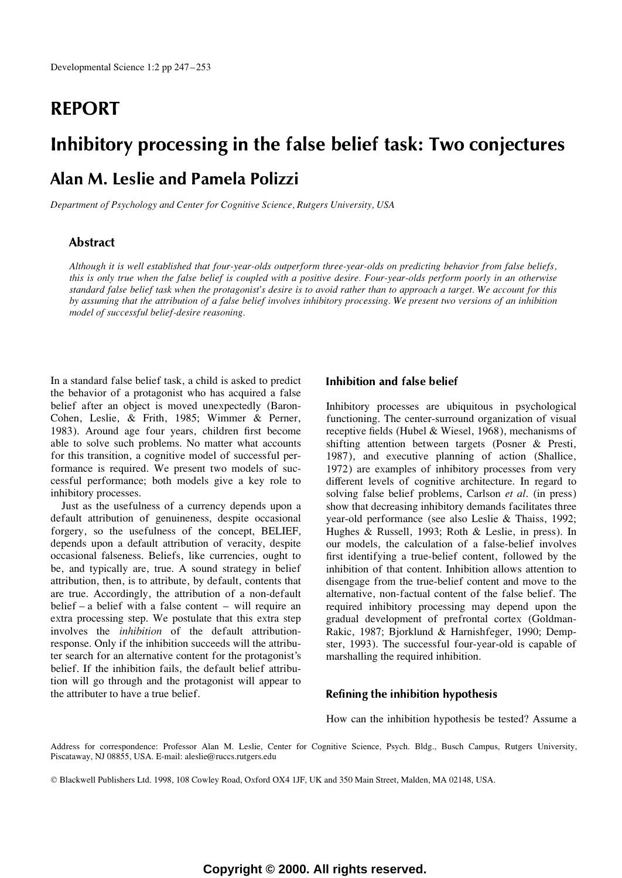# REPORT

# Inhibitory processing in the false belief task: Two conjectures

# Alan M. Leslie and Pamela Polizzi

*Department of Psychology and Center for Cognitive Science, Rutgers University, USA*

# Abstract

*Although it is well established that four-year-olds outperform three-year-olds on predicting behavior from false beliefs, this is only true when the false belief is coupled with a positive desire. Four-year-olds perform poorly in an otherwise standard false belief task when the protagonist's desire is to avoid rather than to approach a target. We account for this by assuming that the attribution of a false belief involves inhibitory processing. We present two versions of an inhibition model of successful belief-desire reasoning.*

In a standard false belief task, a child is asked to predict the behavior of a protagonist who has acquired a false belief after an object is moved unexpectedly (Baron-Cohen, Leslie, & Frith, 1985; Wimmer & Perner, 1983). Around age four years, children first become able to solve such problems. No matter what accounts for this transition, a cognitive model of successful performance is required. We present two models of successful performance; both models give a key role to inhibitory processes.

Just as the usefulness of a currency depends upon a default attribution of genuineness, despite occasional forgery, so the usefulness of the concept, BELIEF, depends upon a default attribution of veracity, despite occasional falseness. Beliefs, like currencies, ought to be, and typically are, true. A sound strategy in belief attribution, then, is to attribute, by default, contents that are true. Accordingly, the attribution of a non-default belief – a belief with a false content – will require an extra processing step. We postulate that this extra step involves the *inhibition* of the default attributionresponse. Only if the inhibition succeeds will the attributer search for an alternative content for the protagonist's belief. If the inhibition fails, the default belief attribution will go through and the protagonist will appear to the attributer to have a true belief.

# Inhibition and false belief

Inhibitory processes are ubiquitous in psychological functioning. The center-surround organization of visual receptive fields (Hubel & Wiesel, 1968), mechanisms of shifting attention between targets (Posner & Presti, 1987), and executive planning of action (Shallice, 1972) are examples of inhibitory processes from very different levels of cognitive architecture. In regard to solving false belief problems, Carlson *et al*. (in press) show that decreasing inhibitory demands facilitates three year-old performance (see also Leslie & Thaiss, 1992; Hughes & Russell, 1993; Roth & Leslie, in press). In our models, the calculation of a false-belief involves first identifying a true-belief content, followed by the inhibition of that content. Inhibition allows attention to disengage from the true-belief content and move to the alternative, non-factual content of the false belief. The required inhibitory processing may depend upon the gradual development of prefrontal cortex (Goldman-Rakic, 1987; Bjorklund & Harnishfeger, 1990; Dempster, 1993). The successful four-year-old is capable of marshalling the required inhibition.

# Refining the inhibition hypothesis

How can the inhibition hypothesis be tested? Assume a

Address for correspondence: Professor Alan M. Leslie, Center for Cognitive Science, Psych. Bldg., Busch Campus, Rutgers University, Piscataway, NJ 08855, USA. E-mail: aleslie@ruccs.rutgers.edu

© Blackwell Publishers Ltd. 1998, 108 Cowley Road, Oxford OX4 1JF, UK and 350 Main Street, Malden, MA 02148, USA.

# **Copyright © 2000. All rights reserved.**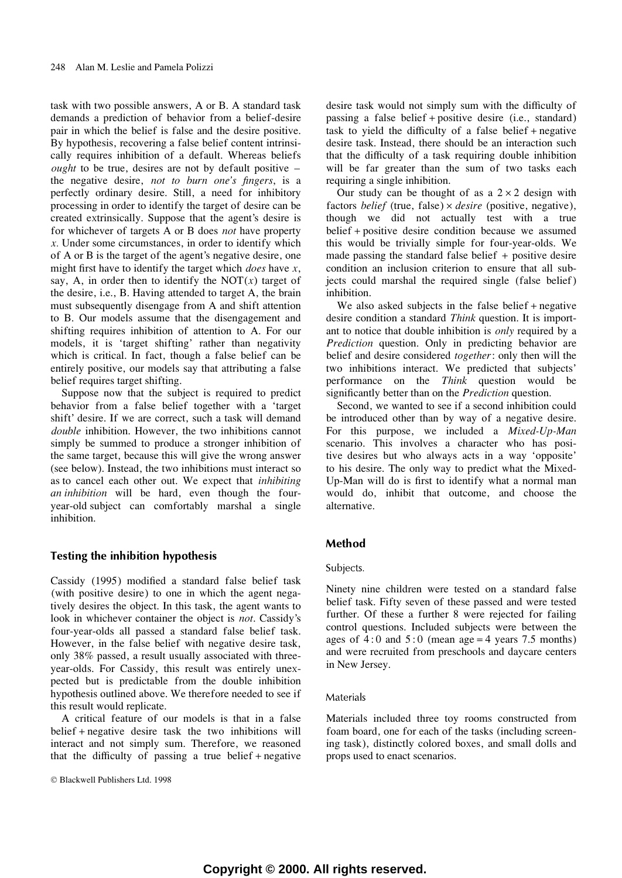task with two possible answers, A or B. A standard task demands a prediction of behavior from a belief-desire pair in which the belief is false and the desire positive. By hypothesis, recovering a false belief content intrinsically requires inhibition of a default. Whereas beliefs *ought* to be true, desires are not by default positive – the negative desire, *not to burn one's fingers*, is a perfectly ordinary desire. Still, a need for inhibitory processing in order to identify the target of desire can be created extrinsically. Suppose that the agent's desire is for whichever of targets A or B does *not* have property *x.* Under some circumstances, in order to identify which of A or B is the target of the agent's negative desire, one might first have to identify the target which *does* have *x*, say, A, in order then to identify the  $NOT(x)$  target of the desire, i.e., B. Having attended to target A, the brain must subsequently disengage from A and shift attention to B. Our models assume that the disengagement and shifting requires inhibition of attention to A. For our models, it is 'target shifting' rather than negativity which is critical. In fact, though a false belief can be entirely positive, our models say that attributing a false belief requires target shifting.

Suppose now that the subject is required to predict behavior from a false belief together with a 'target shift' desire. If we are correct, such a task will demand *double* inhibition. However, the two inhibitions cannot simply be summed to produce a stronger inhibition of the same target, because this will give the wrong answer (see below). Instead, the two inhibitions must interact so as to cancel each other out. We expect that *inhibiting an inhibition* will be hard, even though the fouryear-old subject can comfortably marshal a single inhibition.

# Testing the inhibition hypothesis

Cassidy (1995) modified a standard false belief task (with positive desire) to one in which the agent negatively desires the object. In this task, the agent wants to look in whichever container the object is *not*. Cassidy's four-year-olds all passed a standard false belief task. However, in the false belief with negative desire task, only 38% passed, a result usually associated with threeyear-olds. For Cassidy, this result was entirely unexpected but is predictable from the double inhibition hypothesis outlined above. We therefore needed to see if this result would replicate.

A critical feature of our models is that in a false belief + negative desire task the two inhibitions will interact and not simply sum. Therefore, we reasoned that the difficulty of passing a true belief + negative

© Blackwell Publishers Ltd. 1998

desire task would not simply sum with the difficulty of passing a false belief + positive desire (i.e., standard) task to yield the difficulty of a false belief + negative desire task. Instead, there should be an interaction such that the difficulty of a task requiring double inhibition will be far greater than the sum of two tasks each requiring a single inhibition.

Our study can be thought of as a  $2 \times 2$  design with factors *belief* (true, false) × *desire* (positive, negative), though we did not actually test with a true belief + positive desire condition because we assumed this would be trivially simple for four-year-olds. We made passing the standard false belief + positive desire condition an inclusion criterion to ensure that all subjects could marshal the required single (false belief ) inhibition.

We also asked subjects in the false belief + negative desire condition a standard *Think* question. It is important to notice that double inhibition is *only* required by a *Prediction* question. Only in predicting behavior are belief and desire considered *together*: only then will the two inhibitions interact. We predicted that subjects' performance on the *Think* question would be significantly better than on the *Prediction* question.

Second, we wanted to see if a second inhibition could be introduced other than by way of a negative desire. For this purpose, we included a *Mixed-Up-Man* scenario. This involves a character who has positive desires but who always acts in a way 'opposite' to his desire. The only way to predict what the Mixed-Up-Man will do is first to identify what a normal man would do, inhibit that outcome, and choose the alternative.

## Method

# Subjects.

Ninety nine children were tested on a standard false belief task. Fifty seven of these passed and were tested further. Of these a further 8 were rejected for failing control questions. Included subjects were between the ages of  $4:0$  and  $5:0$  (mean age = 4 years 7.5 months) and were recruited from preschools and daycare centers in New Jersey.

#### Materials

Materials included three toy rooms constructed from foam board, one for each of the tasks (including screening task), distinctly colored boxes, and small dolls and props used to enact scenarios.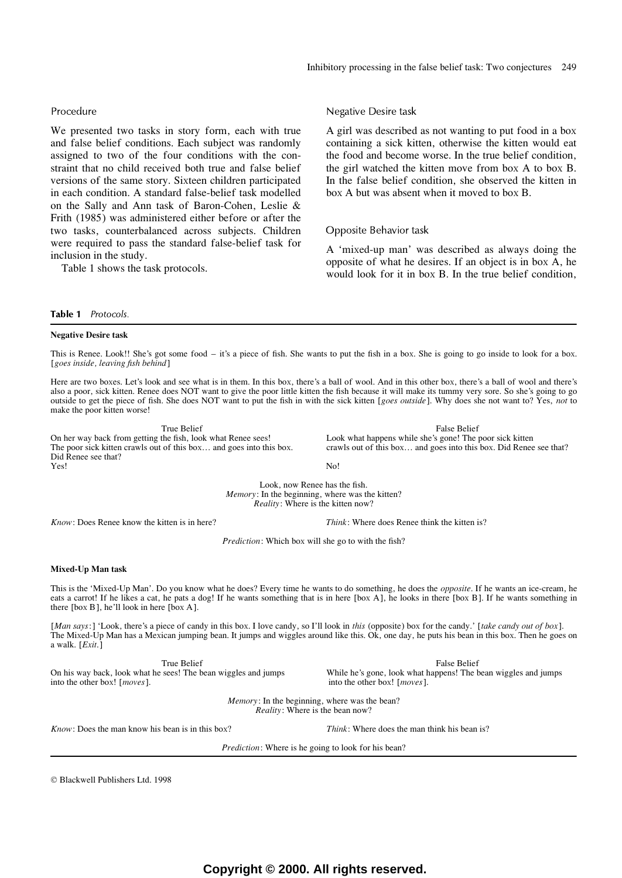## Procedure

We presented two tasks in story form, each with true and false belief conditions. Each subject was randomly assigned to two of the four conditions with the constraint that no child received both true and false belief versions of the same story. Sixteen children participated in each condition. A standard false-belief task modelled on the Sally and Ann task of Baron-Cohen, Leslie & Frith (1985) was administered either before or after the two tasks, counterbalanced across subjects. Children were required to pass the standard false-belief task for inclusion in the study.

Table 1 shows the task protocols.

#### Table 1 Protocols.

#### **Negative Desire task**

Negative Desire task

A girl was described as not wanting to put food in a box containing a sick kitten, otherwise the kitten would eat the food and become worse. In the true belief condition, the girl watched the kitten move from box A to box B. In the false belief condition, she observed the kitten in box A but was absent when it moved to box B.

#### Opposite Behavior task

A 'mixed-up man' was described as always doing the opposite of what he desires. If an object is in box A, he would look for it in box B. In the true belief condition,

This is Renee. Look!! She's got some food – it's a piece of fish. She wants to put the fish in a box. She is going to go inside to look for a box. [*goes inside, leaving fish behind*]

Here are two boxes. Let's look and see what is in them. In this box, there's a ball of wool. And in this other box, there's a ball of wool and there's also a poor, sick kitten. Renee does NOT want to give the poor little kitten the fish because it will make its tummy very sore. So she's going to go outside to get the piece of fish. She does NOT want to put the fish in with the sick kitten [*goes outside*]. Why does she not want to? Yes, *not* to make the poor kitten worse!

True Belief<br>On her way back from getting the fish, look what Renee sees!<br>Dook what happens while she's gone! The price is a section of the sees! The poor sick kitten crawls out of this box… and goes into this box. crawls out of this box… and goes into this box. Did Renee see that? Did Renee see that? Yes! No!

Look, now Renee has the fish. *Memory*: In the beginning, where was the kitten? *Reality*: Where is the kitten now?

*Know*: Does Renee know the kitten is in here? *Think*: Where does Renee think the kitten is?

Look what happens while she's gone! The poor sick kitten

*Prediction*: Which box will she go to with the fish?

#### **Mixed-Up Man task**

This is the 'Mixed-Up Man'. Do you know what he does? Every time he wants to do something, he does the *opposite*. If he wants an ice-cream, he eats a carrot! If he likes a cat, he pats a dog! If he wants something that is in here [box A], he looks in there [box B]. If he wants something in there [box B], he'll look in here [box A].

[*Man says*:] 'Look, there's a piece of candy in this box. I love candy, so I'll look in *this* (opposite) box for the candy.' [*take candy out of box*]. The Mixed-Up Man has a Mexican jumping bean. It jumps and wiggles around like this. Ok, one day, he puts his bean in this box. Then he goes on a walk. [*Exit*.]

True Belief<br>On his way back, look what he sees! The bean wiggles and jumps<br>The bean wiggles and jumps while he's gone, look what happens! The b On his way back, look what he sees! The bean wiggles and jumps While he's gone, look what happens! The bean wiggles and jumps into the other box! [*moves*].

into the other box! [*moves*].

*Memory*: In the beginning, where was the bean? *Reality*: Where is the bean now?

*Know*: Does the man know his bean is in this box? *Think*: Where does the man think his bean is?

*Prediction*: Where is he going to look for his bean?

© Blackwell Publishers Ltd. 1998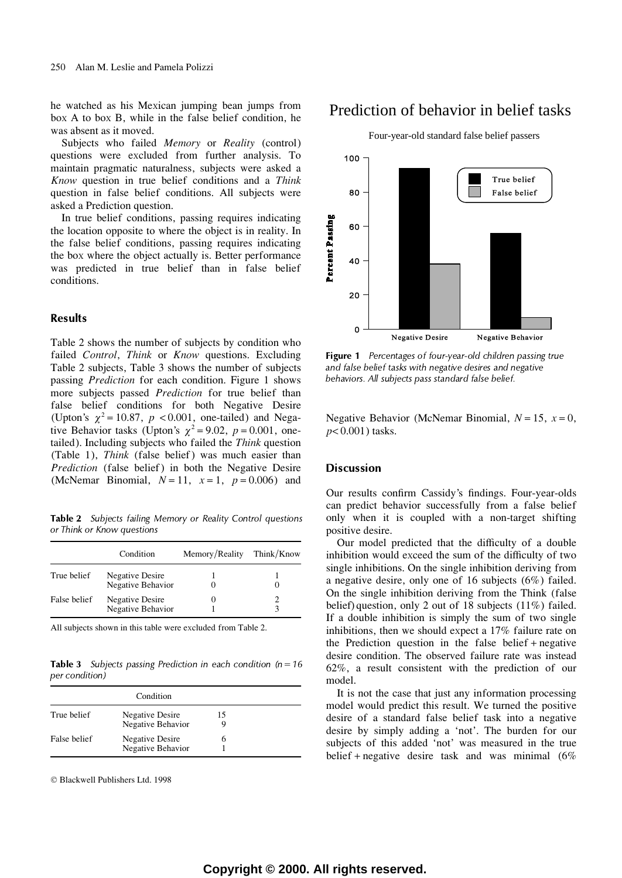he watched as his Mexican jumping bean jumps from box A to box B, while in the false belief condition, he was absent as it moved.

Subjects who failed *Memory* or *Reality* (control) questions were excluded from further analysis. To maintain pragmatic naturalness, subjects were asked a *Know* question in true belief conditions and a *Think* question in false belief conditions. All subjects were asked a Prediction question.

In true belief conditions, passing requires indicating the location opposite to where the object is in reality. In the false belief conditions, passing requires indicating the box where the object actually is. Better performance was predicted in true belief than in false belief conditions.

# Results

Table 2 shows the number of subjects by condition who failed *Control*, *Think* or *Know* questions. Excluding Table 2 subjects, Table 3 shows the number of subjects passing *Prediction* for each condition. Figure 1 shows more subjects passed *Prediction* for true belief than false belief conditions for both Negative Desire (Upton's  $\chi^2 = 10.87$ ,  $p < 0.001$ , one-tailed) and Negative Behavior tasks (Upton's  $\chi^2 = 9.02$ ,  $p = 0.001$ , onetailed). Including subjects who failed the *Think* question (Table 1), *Think* (false belief) was much easier than *Prediction* (false belief) in both the Negative Desire (McNemar Binomial,  $N = 11$ ,  $x = 1$ ,  $p = 0.006$ ) and

Table 2 Subjects failing Memory or Reality Control questions or Think or Know questions

|              | Condition                            | Memory/Reality | Think/Know |
|--------------|--------------------------------------|----------------|------------|
| True belief  | Negative Desire<br>Negative Behavior |                |            |
| False belief | Negative Desire<br>Negative Behavior |                |            |

All subjects shown in this table were excluded from Table 2.

**Table 3** Subjects passing Prediction in each condition ( $n=16$ ) per condition)

| Condition    |                                      |    |  |
|--------------|--------------------------------------|----|--|
| True belief  | Negative Desire<br>Negative Behavior | 15 |  |
| False belief | Negative Desire<br>Negative Behavior |    |  |

© Blackwell Publishers Ltd. 1998

# Prediction of behavior in belief tasks

Four-year-old standard false belief passers



Figure 1 Percentages of four-year-old children passing true and false belief tasks with negative desires and negative behaviors. All subjects pass standard false belief.

Negative Behavior (McNemar Binomial,  $N = 15$ ,  $x = 0$ ,  $p$  < 0.001) tasks.

# **Discussion**

Our results confirm Cassidy's findings. Four-year-olds can predict behavior successfully from a false belief only when it is coupled with a non-target shifting positive desire.

Our model predicted that the difficulty of a double inhibition would exceed the sum of the difficulty of two single inhibitions. On the single inhibition deriving from a negative desire, only one of 16 subjects (6%) failed. On the single inhibition deriving from the Think (false belief) question, only 2 out of 18 subjects (11%) failed. If a double inhibition is simply the sum of two single inhibitions, then we should expect a 17% failure rate on the Prediction question in the false belief + negative desire condition. The observed failure rate was instead 62%, a result consistent with the prediction of our model.

It is not the case that just any information processing model would predict this result. We turned the positive desire of a standard false belief task into a negative desire by simply adding a 'not'. The burden for our subjects of this added 'not' was measured in the true belief + negative desire task and was minimal  $(6\%$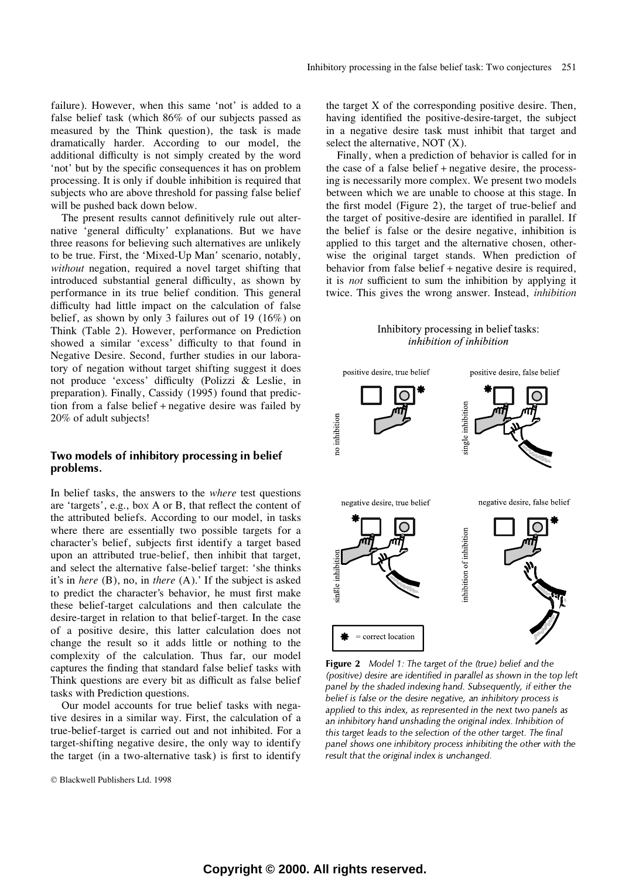failure). However, when this same 'not' is added to a false belief task (which 86% of our subjects passed as measured by the Think question), the task is made dramatically harder. According to our model, the additional difficulty is not simply created by the word 'not' but by the specific consequences it has on problem processing. It is only if double inhibition is required that subjects who are above threshold for passing false belief will be pushed back down below.

The present results cannot definitively rule out alternative 'general difficulty' explanations. But we have three reasons for believing such alternatives are unlikely to be true. First, the 'Mixed-Up Man' scenario, notably, *without* negation, required a novel target shifting that introduced substantial general difficulty, as shown by performance in its true belief condition. This general difficulty had little impact on the calculation of false belief, as shown by only 3 failures out of 19 (16%) on Think (Table 2). However, performance on Prediction showed a similar 'excess' difficulty to that found in Negative Desire. Second, further studies in our laboratory of negation without target shifting suggest it does not produce 'excess' difficulty (Polizzi & Leslie, in preparation). Finally, Cassidy (1995) found that prediction from a false belief + negative desire was failed by 20% of adult subjects!

# Two models of inhibitory processing in belief problems.

In belief tasks, the answers to the *where* test questions are 'targets', e.g., box A or B, that reflect the content of the attributed beliefs. According to our model, in tasks where there are essentially two possible targets for a character's belief, subjects first identify a target based upon an attributed true-belief, then inhibit that target, and select the alternative false-belief target: 'she thinks it's in *here* (B), no, in *there* (A).' If the subject is asked to predict the character's behavior, he must first make these belief-target calculations and then calculate the desire-target in relation to that belief-target. In the case of a positive desire, this latter calculation does not change the result so it adds little or nothing to the complexity of the calculation. Thus far, our model captures the finding that standard false belief tasks with Think questions are every bit as difficult as false belief tasks with Prediction questions.

Our model accounts for true belief tasks with negative desires in a similar way. First, the calculation of a true-belief-target is carried out and not inhibited. For a target-shifting negative desire, the only way to identify the target (in a two-alternative task) is first to identify

© Blackwell Publishers Ltd. 1998

the target  $X$  of the corresponding positive desire. Then, having identified the positive-desire-target, the subject in a negative desire task must inhibit that target and select the alternative, NOT (X).

Finally, when a prediction of behavior is called for in the case of a false belief + negative desire, the processing is necessarily more complex. We present two models between which we are unable to choose at this stage. In the first model (Figure 2), the target of true-belief and the target of positive-desire are identified in parallel. If the belief is false or the desire negative, inhibition is applied to this target and the alternative chosen, otherwise the original target stands. When prediction of behavior from false belief + negative desire is required, it is *not* sufficient to sum the inhibition by applying it twice. This gives the wrong answer. Instead, *inhibition*

Inhibitory processing in belief tasks: inhibition of inhibition



Figure 2 Model 1: The target of the (true) belief and the (positive) desire are identified in parallel as shown in the top left panel by the shaded indexing hand. Subsequently, if either the belief is false or the desire negative, an inhibitory process is applied to this index, as represented in the next two panels as an inhibitory hand unshading the original index. Inhibition of this target leads to the selection of the other target. The final panel shows one inhibitory process inhibiting the other with the result that the original index is unchanged.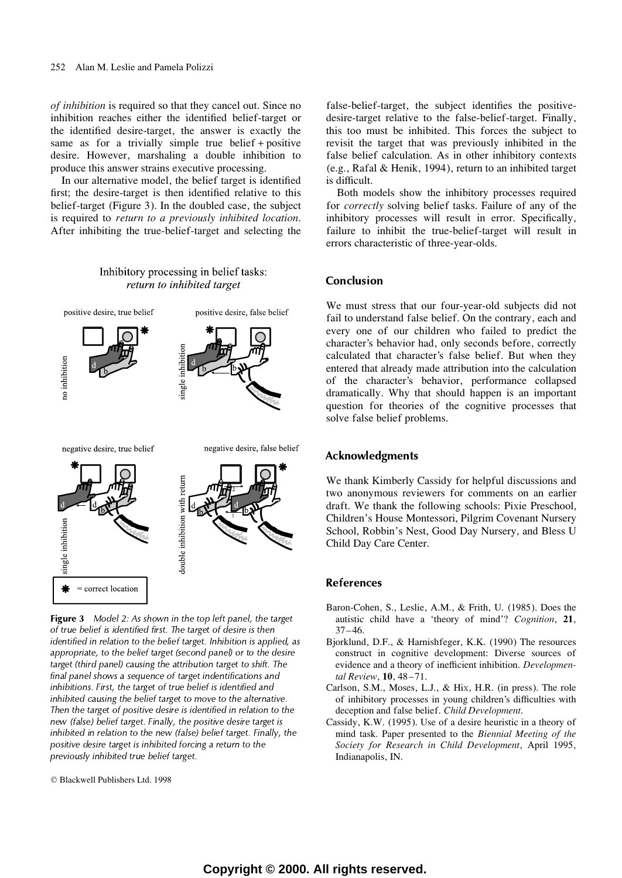*of inhibition* is required so that they cancel out. Since no inhibition reaches either the identified belief-target or the identified desire-target, the answer is exactly the same as for a trivially simple true belief + positive desire. However, marshaling a double inhibition to produce this answer strains executive processing.

In our alternative model, the belief target is identified first; the desire-target is then identified relative to this belief-target (Figure 3). In the doubled case, the subject is required to *return to a previously inhibited location*. After inhibiting the true-belief-target and selecting the

# Inhibitory processing in belief tasks: return to inhibited target



Figure 3 Model 2: As shown in the top left panel, the target of true belief is identified first. The target of desire is then identified in relation to the belief target. Inhibition is applied, as appropriate, to the belief target (second panel) or to the desire target (third panel) causing the attribution target to shift. The final panel shows a sequence of target indentifications and inhibitions. First, the target of true belief is identified and inhibited causing the belief target to move to the alternative. Then the target of positive desire is identified in relation to the new (false) belief target. Finally, the positive desire target is inhibited in relation to the new (false) belief target. Finally, the positive desire target is inhibited forcing a return to the previously inhibited true belief target.

© Blackwell Publishers Ltd. 1998

false-belief-target, the subject identifies the positivedesire-target relative to the false-belief-target. Finally, this too must be inhibited. This forces the subject to revisit the target that was previously inhibited in the false belief calculation. As in other inhibitory contexts (e.g., Rafal & Henik, 1994), return to an inhibited target is difficult.

Both models show the inhibitory processes required for *correctly* solving belief tasks. Failure of any of the inhibitory processes will result in error. Specifically, failure to inhibit the true-belief-target will result in errors characteristic of three-year-olds.

# Conclusion

We must stress that our four-year-old subjects did not fail to understand false belief. On the contrary, each and every one of our children who failed to predict the character's behavior had, only seconds before, correctly calculated that character's false belief. But when they entered that already made attribution into the calculation of the character's behavior, performance collapsed dramatically. Why that should happen is an important question for theories of the cognitive processes that solve false belief problems.

# Acknowledgments

We thank Kimberly Cassidy for helpful discussions and two anonymous reviewers for comments on an earlier draft. We thank the following schools: Pixie Preschool, Children's House Montessori, Pilgrim Covenant Nursery School, Robbin's Nest, Good Day Nursery, and Bless U Child Day Care Center.

# References

- Baron-Cohen, S., Leslie, A.M., & Frith, U. (1985). Does the autistic child have a 'theory of mind'? *Cognition*, **21**, 37–46.
- Bjorklund, D.F., & Harnishfeger, K.K. (1990) The resources construct in cognitive development: Diverse sources of evidence and a theory of inefficient inhibition. *Developmental Review*, **10**, 48–71.
- Carlson, S.M., Moses, L.J., & Hix, H.R. (in press). The role of inhibitory processes in young children's difficulties with deception and false belief. *Child Development*.
- Cassidy, K.W. (1995). Use of a desire heuristic in a theory of mind task. Paper presented to the *Biennial Meeting of the Society for Research in Child Development*, April 1995, Indianapolis, IN.